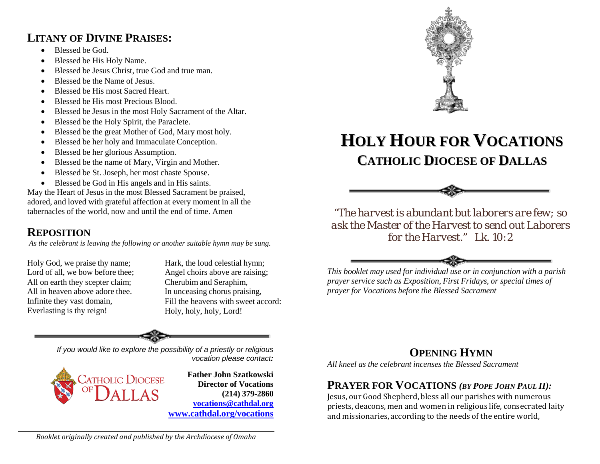## **LITANY OF DIVINE PRAISES:**

- Blessed be God.
- Blessed be His Holy Name.
- Blessed be Jesus Christ, true God and true man.
- Blessed be the Name of Jesus.
- Blessed be His most Sacred Heart.
- Blessed be His most Precious Blood.
- Blessed be Jesus in the most Holy Sacrament of the Altar.
- Blessed be the Holy Spirit, the Paraclete.
- Blessed be the great Mother of God, Mary most holy.
- Blessed be her holy and Immaculate Conception.
- Blessed be her glorious Assumption.
- Blessed be the name of Mary, Virgin and Mother.
- Blessed be St. Joseph, her most chaste Spouse.
- Blessed be God in His angels and in His saints.

May the Heart of Jesus in the most Blessed Sacrament be praised, adored, and loved with grateful affection at every moment in all the tabernacles of the world, now and until the end of time. Amen

# **REPOSITION**

*As the celebrant is leaving the following or another suitable hymn may be sung.*

Holy God, we praise thy name; Lord of all, we bow before thee; All on earth they scepter claim; All in heaven above adore thee. Infinite they vast domain, Everlasting is thy reign!

Hark, the loud celestial hymn; Angel choirs above are raising; Cherubim and Seraphim, In unceasing chorus praising, Fill the heavens with sweet accord: Holy, holy, holy, Lord!

*If you would like to explore the possibility of a priestly or religious vocation please contact:*



**Father John Szatkowski Director of Vocations (214) 379-2860 [vocations@cathdal.org](mailto:vocations@cathdal.org) [www.cathdal.org/vocations](http://www.cathdal.org/vocations)**



# **HOLY HOUR FOR VOCATIONS CATHOLIC DIOCESE OF DALLAS**



*"The harvest is abundant but laborers are few; so ask the Master of the Harvest to send out Laborers for the Harvest." Lk. 10:2*



*This booklet may used for individual use or in conjunction with a parish prayer service such as Exposition, First Fridays, or special times of prayer for Vocations before the Blessed Sacrament*

# **OPENING HYMN**

*All kneel as the celebrant incenses the Blessed Sacrament*

# **PRAYER FOR VOCATIONS** *(BY POPE JOHN PAUL II):*

Jesus, our Good Shepherd, bless all our parishes with numerous priests, deacons, men and women in religious life, consecrated laity and missionaries, according to the needs of the entire world,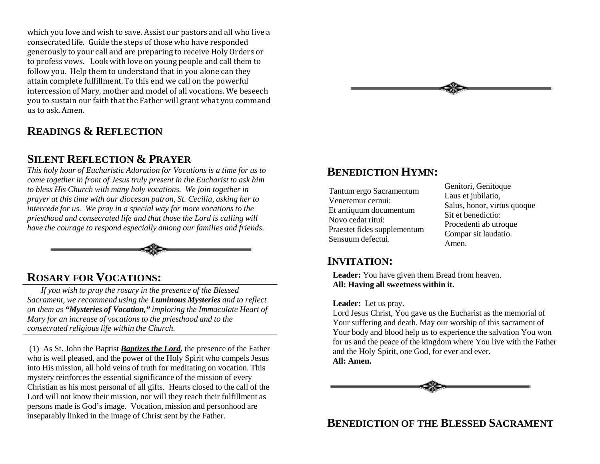which you love and wish to save. Assist our pastors and all who live a consecrated life. Guide the steps of those who have responded generously to your call and are preparing to receive Holy Orders or to profess vows. Look with love on young people and call them to follow you. Help them to understand that in you alone can they attain complete fulfillment. To this end we call on the powerful intercession of Mary, mother and model of all vocations. We beseech you to sustain our faith that the Father will grant what you command us to ask. Amen.

## **READINGS & REFLECTION**

#### **SILENT REFLECTION & PRAYER**

*This holy hour of Eucharistic Adoration for Vocations is a time for us to come together in front of Jesus truly present in the Eucharist to ask him to bless His Church with many holy vocations. We join together in prayer at this time with our diocesan patron, St. Cecilia, asking her to intercede for us. We pray in a special way for more vocations to the priesthood and consecrated life and that those the Lord is calling will have the courage to respond especially among our families and friends.*



### **ROSARY FOR VOCATIONS:**

*If you wish to pray the rosary in the presence of the Blessed Sacrament, we recommend using the Luminous Mysteries and to reflect on them as "Mysteries of Vocation," imploring the Immaculate Heart of Mary for an increase of vocations to the priesthood and to the consecrated religious life within the Church.*

(1) As St. John the Baptist *Baptizes the Lord*, the presence of the Father who is well pleased, and the power of the Holy Spirit who compels Jesus into His mission, all hold veins of truth for meditating on vocation. This mystery reinforces the essential significance of the mission of every Christian as his most personal of all gifts. Hearts closed to the call of the Lord will not know their mission, nor will they reach their fulfillment as persons made is God's image. Vocation, mission and personhood are inseparably linked in the image of Christ sent by the Father.



### **BENEDICTION HYMN:**

Tantum ergo Sacramentum Veneremur cernui: Et antiquum documentum Novo cedat ritui: Praestet fides supplementum Sensuum defectui.

Genitori, Genitoque Laus et jubilatio, Salus, honor, virtus quoque Sit et benedictio: Procedenti ab utroque Compar sit laudatio. Amen.

#### **INVITATION:**

**Leader:** You have given them Bread from heaven. **All: Having all sweetness within it.**

#### **Leader:** Let us pray.

Lord Jesus Christ, You gave us the Eucharist as the memorial of Your suffering and death. May our worship of this sacrament of Your body and blood help us to experience the salvation You won for us and the peace of the kingdom where You live with the Father and the Holy Spirit, one God, for ever and ever. **All: Amen.**



### **BENEDICTION OF THE BLESSED SACRAMENT**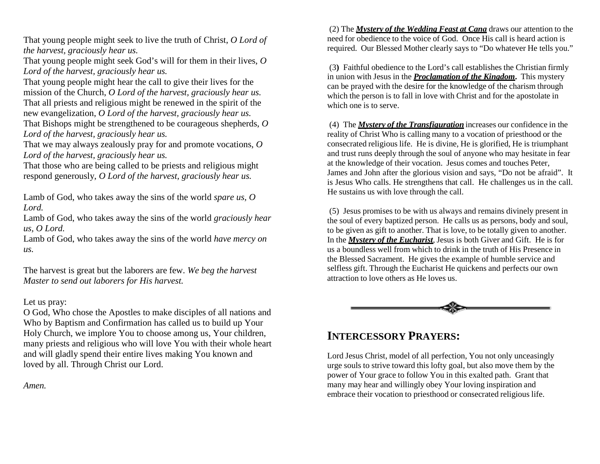That young people might seek to live the truth of Christ, *O Lord of the harvest, graciously hear us.*

That young people might seek God's will for them in their lives, *O Lord of the harvest, graciously hear us.*

That young people might hear the call to give their lives for the mission of the Church, *O Lord of the harvest, graciously hear us.* That all priests and religious might be renewed in the spirit of the new evangelization, *O Lord of the harvest, graciously hear us.* That Bishops might be strengthened to be courageous shepherds, *O Lord of the harvest, graciously hear us.*

That we may always zealously pray for and promote vocations, *O Lord of the harvest, graciously hear us.*

That those who are being called to be priests and religious might respond generously, *O Lord of the harvest, graciously hear us.*

Lamb of God, who takes away the sins of the world *spare us, O Lord.*

Lamb of God, who takes away the sins of the world *graciously hear us, O Lord.*

Lamb of God, who takes away the sins of the world *have mercy on us.*

The harvest is great but the laborers are few. *We beg the harvest Master to send out laborers for His harvest.*

#### Let us pray:

O God, Who chose the Apostles to make disciples of all nations and Who by Baptism and Confirmation has called us to build up Your Holy Church, we implore You to choose among us, Your children, many priests and religious who will love You with their whole heart and will gladly spend their entire lives making You known and loved by all. Through Christ our Lord.

*Amen.*

(2) The *Mystery of the Wedding Feast at Cana* draws our attention to the need for obedience to the voice of God. Once His call is heard action is required. Our Blessed Mother clearly says to "Do whatever He tells you."

(3**)** Faithful obedience to the Lord's call establishes the Christian firmly in union with Jesus in the *Proclamation of the Kingdom***.** This mystery can be prayed with the desire for the knowledge of the charism through which the person is to fall in love with Christ and for the apostolate in which one is to serve.

(4) The *Mystery of the Transfiguration* increases our confidence in the reality of Christ Who is calling many to a vocation of priesthood or the consecrated religious life. He is divine, He is glorified, He is triumphant and trust runs deeply through the soul of anyone who may hesitate in fear at the knowledge of their vocation. Jesus comes and touches Peter, James and John after the glorious vision and says, "Do not be afraid". It is Jesus Who calls. He strengthens that call. He challenges us in the call. He sustains us with love through the call.

(5) Jesus promises to be with us always and remains divinely present in the soul of every baptized person. He calls us as persons, body and soul, to be given as gift to another. That is love, to be totally given to another. In the *Mystery of the Eucharist,* Jesus is both Giver and Gift. He is for us a boundless well from which to drink in the truth of His Presence in the Blessed Sacrament. He gives the example of humble service and selfless gift. Through the Eucharist He quickens and perfects our own attraction to love others as He loves us.



### **INTERCESSORY PRAYERS:**

Lord Jesus Christ, model of all perfection, You not only unceasingly urge souls to strive toward this lofty goal, but also move them by the power of Your grace to follow You in this exalted path. Grant that many may hear and willingly obey Your loving inspiration and embrace their vocation to priesthood or consecrated religious life.